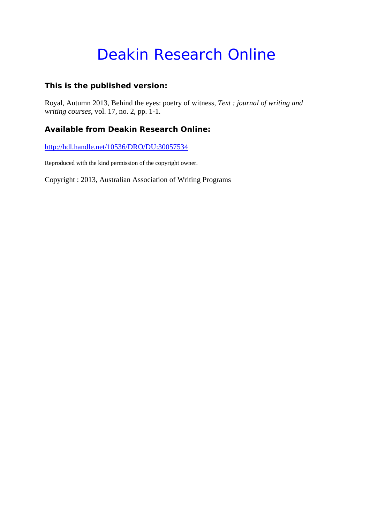# Deakin Research Online

### **This is the published version:**

Royal, Autumn 2013, Behind the eyes: poetry of witness*, Text : journal of writing and writing courses*, vol. 17, no. 2, pp. 1-1.

### **Available from Deakin Research Online:**

http://hdl.handle.net/10536/DRO/DU:30057534

Reproduced with the kind permission of the copyright owner.

Copyright : 2013, Australian Association of Writing Programs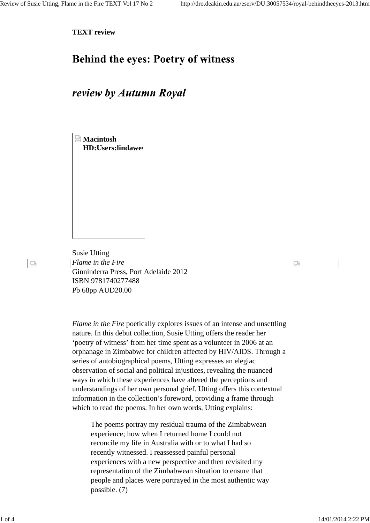딨

**TEXT review**

## **Behind the eyes: Poetry of witness**

### review by Autumn Royal

**Macintosh HD:Users:lindawes**

Susie Utting *Flame in the Fire* Ginninderra Press, Port Adelaide 2012 ISBN 9781740277488 Pb 68pp AUD20.00

> *Flame in the Fire* poetically explores issues of an intense and unsettling nature. In this debut collection, Susie Utting offers the reader her 'poetry of witness' from her time spent as a volunteer in 2006 at an orphanage in Zimbabwe for children affected by HIV/AIDS. Through a series of autobiographical poems, Utting expresses an elegiac observation of social and political injustices, revealing the nuanced ways in which these experiences have altered the perceptions and understandings of her own personal grief. Utting offers this contextual information in the collection's foreword, providing a frame through which to read the poems. In her own words, Utting explains:

The poems portray my residual trauma of the Zimbabwean experience; how when I returned home I could not reconcile my life in Australia with or to what I had so recently witnessed. I reassessed painful personal experiences with a new perspective and then revisited my representation of the Zimbabwean situation to ensure that people and places were portrayed in the most authentic way possible. (7)

 $\Box$ 

1 of 4 14/01/2014 2:22 PM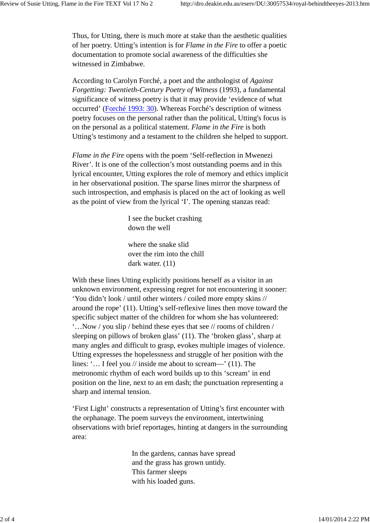Thus, for Utting, there is much more at stake than the aesthetic qualities of her poetry. Utting's intention is for *Flame in the Fire* to offer a poetic documentation to promote social awareness of the difficulties she witnessed in Zimbabwe.

According to Carolyn Forché, a poet and the anthologist of *Against Forgetting: Twentieth-Century Poetry of Witness* (1993), a fundamental significance of witness poetry is that it may provide 'evidence of what occurred' (Forché 1993: 30). Whereas Forché's description of witness poetry focuses on the personal rather than the political, Utting's focus is on the personal as a political statement. *Flame in the Fire* is both Utting's testimony and a testament to the children she helped to support.

*Flame in the Fire* opens with the poem 'Self-reflection in Mwenezi River'. It is one of the collection's most outstanding poems and in this lyrical encounter, Utting explores the role of memory and ethics implicit in her observational position. The sparse lines mirror the sharpness of such introspection, and emphasis is placed on the act of looking as well as the point of view from the lyrical 'I'. The opening stanzas read:

> I see the bucket crashing down the well

where the snake slid over the rim into the chill dark water.  $(11)$ 

With these lines Utting explicitly positions herself as a visitor in an unknown environment, expressing regret for not encountering it sooner: 'You didn't look / until other winters / coiled more empty skins // around the rope' (11). Utting's self-reflexive lines then move toward the specific subject matter of the children for whom she has volunteered: '…Now / you slip / behind these eyes that see // rooms of children / sleeping on pillows of broken glass' (11). The 'broken glass', sharp at many angles and difficult to grasp, evokes multiple images of violence. Utting expresses the hopelessness and struggle of her position with the lines: '... I feel you // inside me about to scream—' (11). The metronomic rhythm of each word builds up to this 'scream' in end position on the line, next to an em dash; the punctuation representing a sharp and internal tension.

'First Light' constructs a representation of Utting's first encounter with the orphanage. The poem surveys the environment, intertwining observations with brief reportages, hinting at dangers in the surrounding area:

> In the gardens, cannas have spread and the grass has grown untidy. This farmer sleeps with his loaded guns.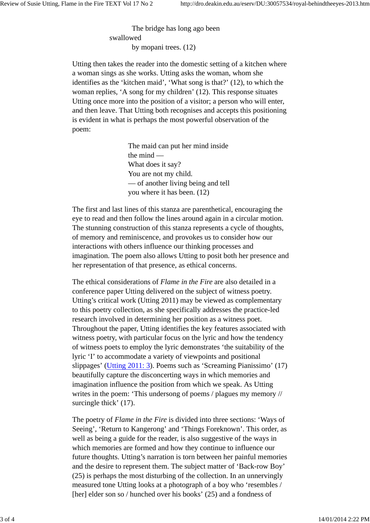The bridge has long ago been swallowed by mopani trees. (12)

Utting then takes the reader into the domestic setting of a kitchen where a woman sings as she works. Utting asks the woman, whom she identifies as the 'kitchen maid', 'What song is that?' (12), to which the woman replies, 'A song for my children' (12). This response situates Utting once more into the position of a visitor; a person who will enter, and then leave. That Utting both recognises and accepts this positioning is evident in what is perhaps the most powerful observation of the poem:

> The maid can put her mind inside the mind — What does it say? You are not my child. — of another living being and tell you where it has been. (12)

The first and last lines of this stanza are parenthetical, encouraging the eye to read and then follow the lines around again in a circular motion. The stunning construction of this stanza represents a cycle of thoughts, of memory and reminiscence, and provokes us to consider how our interactions with others influence our thinking processes and imagination. The poem also allows Utting to posit both her presence and her representation of that presence, as ethical concerns.

The ethical considerations of *Flame in the Fire* are also detailed in a conference paper Utting delivered on the subject of witness poetry. Utting's critical work (Utting 2011) may be viewed as complementary to this poetry collection, as she specifically addresses the practice-led research involved in determining her position as a witness poet. Throughout the paper, Utting identifies the key features associated with witness poetry, with particular focus on the lyric and how the tendency of witness poets to employ the lyric demonstrates 'the suitability of the lyric 'I' to accommodate a variety of viewpoints and positional slippages' (Utting 2011: 3). Poems such as 'Screaming Pianissimo' (17) beautifully capture the disconcerting ways in which memories and imagination influence the position from which we speak. As Utting writes in the poem: 'This undersong of poems / plagues my memory // surcingle thick' (17).

The poetry of *Flame in the Fire* is divided into three sections: 'Ways of Seeing', 'Return to Kangerong' and 'Things Foreknown'. This order, as well as being a guide for the reader, is also suggestive of the ways in which memories are formed and how they continue to influence our future thoughts. Utting's narration is torn between her painful memories and the desire to represent them. The subject matter of 'Back-row Boy' (25) is perhaps the most disturbing of the collection. In an unnervingly measured tone Utting looks at a photograph of a boy who 'resembles / [her] elder son so / hunched over his books' (25) and a fondness of